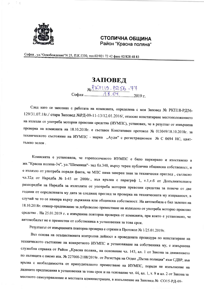

## СТОЛИЧНА ОБЩИНА Район "Красна поляна"

София, ул. "Освобождение" N 25, П.К.1330, тел.02/921 72 42 факс 02/828 48 83

## ЗАПОВЕД  $N_{2}$  PKT19-P256-77

След като се запознах с работата на комисията, определена с моя Заповед № РКП18-РД56-129/31.07.18г./ стара Заповед №РД-09-11-13/12.01.2016/, относно констатиране местоположението на излезли от употреба моторни превозни средства (ИУМПС), установих, че в резултат от извършена проверка на комисията на 18.10.2018г. е съставен Констативен протокол № 013049/18.10.2018г. за техническото състояние на ИУМПС - марка "Ауди" с регистрационен № С 0694 НС, цвяттъмно зелен.

Комисията е установила, че горепосоченото ИУМПС е било паркирано и изоставено в жк. "Красна поляна-3ч", ул. "Шемница"- зад бл.340, върху терен публична общинска собственост, и е излязло от употреба поради факта, че МПС няма заверен знак за технически преглед, съгласно чл.32д от Наредба № 1-45 от 2000г., във връзка с параграф 1, т.1,т.б от Допълнителните разпоредби на Наредба за излезлите от употреба моторни превозни средства за повече от две години от определената му дата за следващ преглед за проверка на техническата му изправност, в случай че то се намира върху държавна или общинска собственост. На автомобила е бил залепен на 18.10.2018г. стикер-предписание за доброволно преместване на излязлото от употреба моторно превозно средство. На 25.01.2019 г. е извършена повторна проверка от комисията, при която е установено, че автомобилът не е преместен от собственика в установения за това срок.

Резултатът от извършената повторна проверка е отразен в Протокол № 1/25.01.2019г.

Въз основа на осъществената контролна дейност в проведената процедура по констатиране на техническото състояние на конкретното ИУМПС и установяване на собственика му, е извършена служебна справка от Район "Красна поляна" на основание чл. 143, ал. 1 от Закона за движението по пътищата с писмо изх. № 227000-2188/2019г. от Регистъра на Отдел "Пътна полиция" към СДВР, във връзка с необходимостта от принудителното преместване на ИУМПС, поради не изпълнение на дадените предписания в установения за това срок и на основание чл. 44, ал. 1, т. 9 и ал. 2 от Закона за местното самоуправление и местната администрация, в изпълнение на Заповед № СО15-РД-09